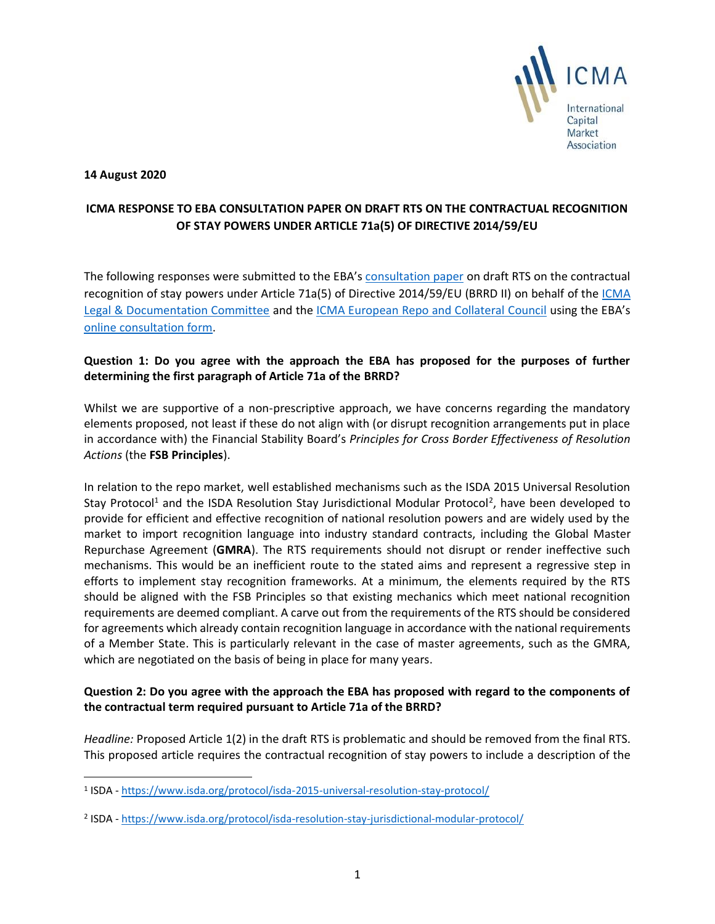

#### **14 August 2020**

# **ICMA RESPONSE TO EBA CONSULTATION PAPER ON DRAFT RTS ON THE CONTRACTUAL RECOGNITION OF STAY POWERS UNDER ARTICLE 71a(5) OF DIRECTIVE 2014/59/EU**

The following responses were submitted to the EBA's [consultation paper](https://eba.europa.eu/sites/default/documents/files/document_library/Publications/Consultations/2020/Consultation%20Paper%20on%20Draft%20Regulatory%20Technical%20Standards%20on%20the%20contractual%20recognition%20of%20stay%20powers%20under%20Article%2071a%285%29%20of%20Directive%202014/59/EU/883685/EBA-CP-2020-04%20draft%20RTS%20on%20stay%20powers%20%28art71a_BRRD%29.pdf) on draft RTS on the contractual recognition of stay powers under Article 71a(5) of Directive 2014/59/EU (BRRD II) on behalf of the [ICMA](https://www.icmagroup.org/Regulatory-Policy-and-Market-Practice/Primary-Markets/primary-market-committees/icma-legal-and-documentation-committee/)  [Legal & Documentation Committee](https://www.icmagroup.org/Regulatory-Policy-and-Market-Practice/Primary-Markets/primary-market-committees/icma-legal-and-documentation-committee/) and the [ICMA European Repo and Collateral Council](https://www.icmagroup.org/Regulatory-Policy-and-Market-Practice/repo-and-collateral-markets/) using the EBA's [online consultation form.](https://eba.europa.eu/consultation-paper-draft-regulatory-technical-standards-contractual-recognition-stay-powers-under-0)

## **Question 1: Do you agree with the approach the EBA has proposed for the purposes of further determining the first paragraph of Article 71a of the BRRD?**

Whilst we are supportive of a non-prescriptive approach, we have concerns regarding the mandatory elements proposed, not least if these do not align with (or disrupt recognition arrangements put in place in accordance with) the Financial Stability Board's *Principles for Cross Border Effectiveness of Resolution Actions* (the **FSB Principles**).

In relation to the repo market, well established mechanisms such as the ISDA 2015 Universal Resolution Stay Protocol<sup>1</sup> and the ISDA Resolution Stay Jurisdictional Modular Protocol<sup>2</sup>, have been developed to provide for efficient and effective recognition of national resolution powers and are widely used by the market to import recognition language into industry standard contracts, including the Global Master Repurchase Agreement (**GMRA**). The RTS requirements should not disrupt or render ineffective such mechanisms. This would be an inefficient route to the stated aims and represent a regressive step in efforts to implement stay recognition frameworks. At a minimum, the elements required by the RTS should be aligned with the FSB Principles so that existing mechanics which meet national recognition requirements are deemed compliant. A carve out from the requirements of the RTS should be considered for agreements which already contain recognition language in accordance with the national requirements of a Member State. This is particularly relevant in the case of master agreements, such as the GMRA, which are negotiated on the basis of being in place for many years.

## **Question 2: Do you agree with the approach the EBA has proposed with regard to the components of the contractual term required pursuant to Article 71a of the BRRD?**

*Headline:* Proposed Article 1(2) in the draft RTS is problematic and should be removed from the final RTS. This proposed article requires the contractual recognition of stay powers to include a description of the

<sup>&</sup>lt;sup>1</sup> ISDA - <https://www.isda.org/protocol/isda-2015-universal-resolution-stay-protocol/>

<sup>&</sup>lt;sup>2</sup> ISDA - <https://www.isda.org/protocol/isda-resolution-stay-jurisdictional-modular-protocol/>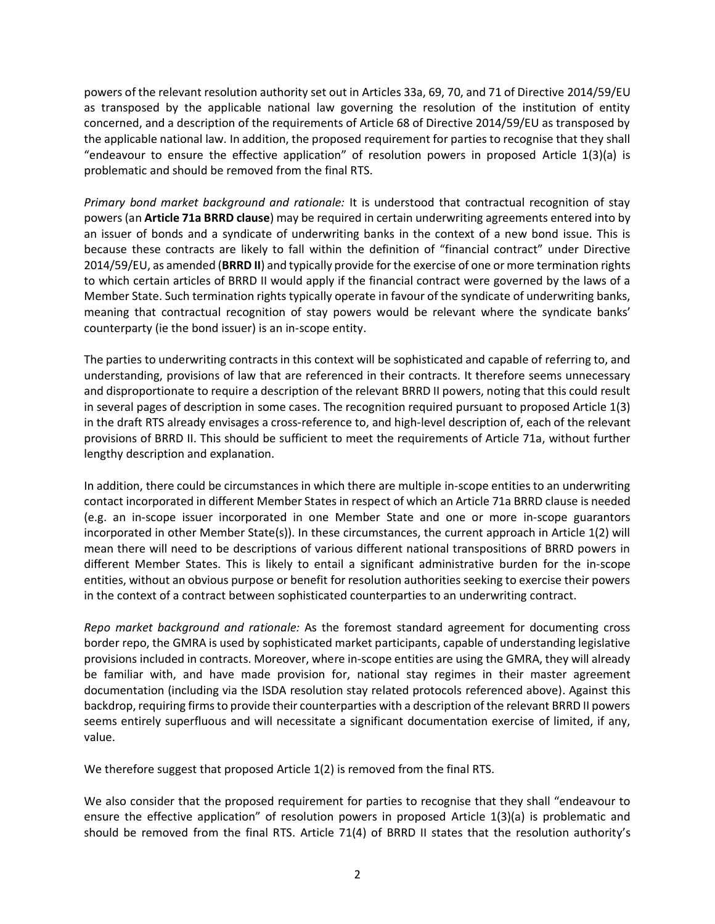powers of the relevant resolution authority set out in Articles 33a, 69, 70, and 71 of Directive 2014/59/EU as transposed by the applicable national law governing the resolution of the institution of entity concerned, and a description of the requirements of Article 68 of Directive 2014/59/EU as transposed by the applicable national law. In addition, the proposed requirement for parties to recognise that they shall "endeavour to ensure the effective application" of resolution powers in proposed Article 1(3)(a) is problematic and should be removed from the final RTS.

*Primary bond market background and rationale:* It is understood that contractual recognition of stay powers (an **Article 71a BRRD clause**) may be required in certain underwriting agreements entered into by an issuer of bonds and a syndicate of underwriting banks in the context of a new bond issue. This is because these contracts are likely to fall within the definition of "financial contract" under Directive 2014/59/EU, as amended (**BRRD II**) and typically provide for the exercise of one or more termination rights to which certain articles of BRRD II would apply if the financial contract were governed by the laws of a Member State. Such termination rights typically operate in favour of the syndicate of underwriting banks, meaning that contractual recognition of stay powers would be relevant where the syndicate banks' counterparty (ie the bond issuer) is an in-scope entity.

The parties to underwriting contracts in this context will be sophisticated and capable of referring to, and understanding, provisions of law that are referenced in their contracts. It therefore seems unnecessary and disproportionate to require a description of the relevant BRRD II powers, noting that this could result in several pages of description in some cases. The recognition required pursuant to proposed Article 1(3) in the draft RTS already envisages a cross-reference to, and high-level description of, each of the relevant provisions of BRRD II. This should be sufficient to meet the requirements of Article 71a, without further lengthy description and explanation.

In addition, there could be circumstances in which there are multiple in-scope entities to an underwriting contact incorporated in different Member States in respect of which an Article 71a BRRD clause is needed (e.g. an in-scope issuer incorporated in one Member State and one or more in-scope guarantors incorporated in other Member State(s)). In these circumstances, the current approach in Article 1(2) will mean there will need to be descriptions of various different national transpositions of BRRD powers in different Member States. This is likely to entail a significant administrative burden for the in-scope entities, without an obvious purpose or benefit for resolution authorities seeking to exercise their powers in the context of a contract between sophisticated counterparties to an underwriting contract.

*Repo market background and rationale:* As the foremost standard agreement for documenting cross border repo, the GMRA is used by sophisticated market participants, capable of understanding legislative provisions included in contracts. Moreover, where in-scope entities are using the GMRA, they will already be familiar with, and have made provision for, national stay regimes in their master agreement documentation (including via the ISDA resolution stay related protocols referenced above). Against this backdrop, requiring firms to provide their counterparties with a description of the relevant BRRD II powers seems entirely superfluous and will necessitate a significant documentation exercise of limited, if any, value.

We therefore suggest that proposed Article 1(2) is removed from the final RTS.

We also consider that the proposed requirement for parties to recognise that they shall "endeavour to ensure the effective application" of resolution powers in proposed Article 1(3)(a) is problematic and should be removed from the final RTS. Article 71(4) of BRRD II states that the resolution authority's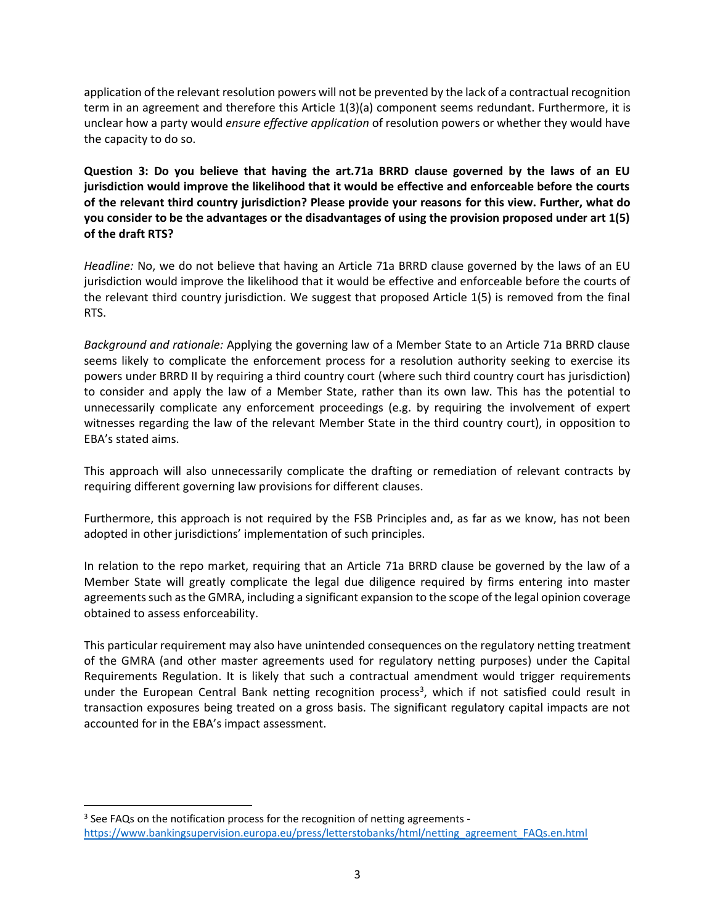application of the relevant resolution powers will not be prevented by the lack of a contractual recognition term in an agreement and therefore this Article 1(3)(a) component seems redundant. Furthermore, it is unclear how a party would *ensure effective application* of resolution powers or whether they would have the capacity to do so.

**Question 3: Do you believe that having the art.71a BRRD clause governed by the laws of an EU jurisdiction would improve the likelihood that it would be effective and enforceable before the courts of the relevant third country jurisdiction? Please provide your reasons for this view. Further, what do you consider to be the advantages or the disadvantages of using the provision proposed under art 1(5) of the draft RTS?** 

*Headline:* No, we do not believe that having an Article 71a BRRD clause governed by the laws of an EU jurisdiction would improve the likelihood that it would be effective and enforceable before the courts of the relevant third country jurisdiction. We suggest that proposed Article 1(5) is removed from the final RTS.

*Background and rationale:* Applying the governing law of a Member State to an Article 71a BRRD clause seems likely to complicate the enforcement process for a resolution authority seeking to exercise its powers under BRRD II by requiring a third country court (where such third country court has jurisdiction) to consider and apply the law of a Member State, rather than its own law. This has the potential to unnecessarily complicate any enforcement proceedings (e.g. by requiring the involvement of expert witnesses regarding the law of the relevant Member State in the third country court), in opposition to EBA's stated aims.

This approach will also unnecessarily complicate the drafting or remediation of relevant contracts by requiring different governing law provisions for different clauses.

Furthermore, this approach is not required by the FSB Principles and, as far as we know, has not been adopted in other jurisdictions' implementation of such principles.

In relation to the repo market, requiring that an Article 71a BRRD clause be governed by the law of a Member State will greatly complicate the legal due diligence required by firms entering into master agreements such as the GMRA, including a significant expansion to the scope of the legal opinion coverage obtained to assess enforceability.

This particular requirement may also have unintended consequences on the regulatory netting treatment of the GMRA (and other master agreements used for regulatory netting purposes) under the Capital Requirements Regulation. It is likely that such a contractual amendment would trigger requirements under the European Central Bank netting recognition process<sup>3</sup>, which if not satisfied could result in transaction exposures being treated on a gross basis. The significant regulatory capital impacts are not accounted for in the EBA's impact assessment.

<sup>&</sup>lt;sup>3</sup> See FAQs on the notification process for the recognition of netting agreements [https://www.bankingsupervision.europa.eu/press/letterstobanks/html/netting\\_agreement\\_FAQs.en.html](https://www.bankingsupervision.europa.eu/press/letterstobanks/html/netting_agreement_FAQs.en.html)